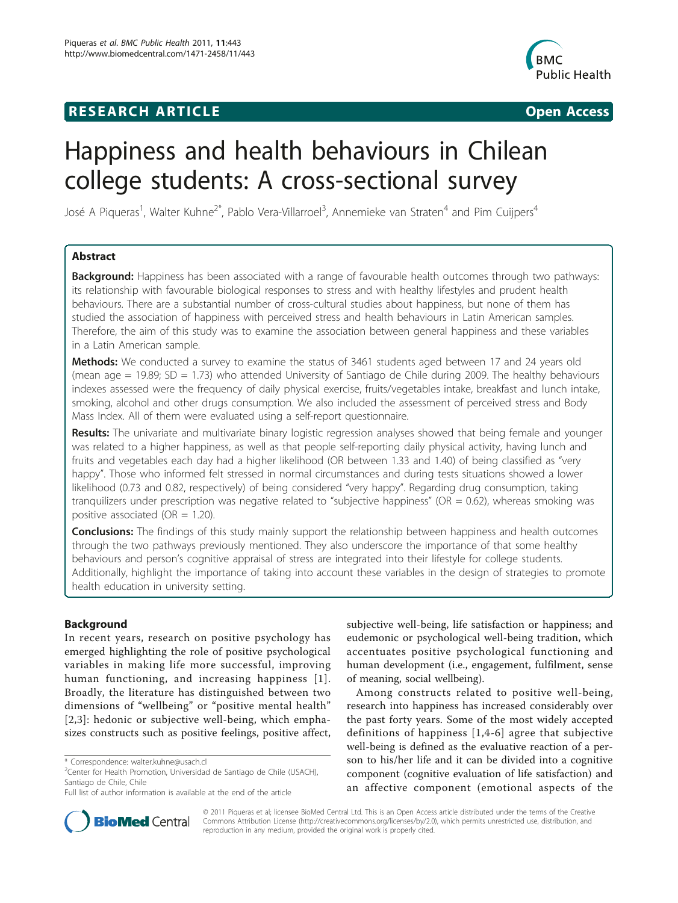## **RESEARCH ARTICLE Example 2018 12:30 THE Open Access**



# Happiness and health behaviours in Chilean college students: A cross-sectional survey

José A Piqueras<sup>1</sup>, Walter Kuhne<sup>2\*</sup>, Pablo Vera-Villarroel<sup>3</sup>, Annemieke van Straten<sup>4</sup> and Pim Cuijpers<sup>4</sup>

## Abstract

**Background:** Happiness has been associated with a range of favourable health outcomes through two pathways: its relationship with favourable biological responses to stress and with healthy lifestyles and prudent health behaviours. There are a substantial number of cross-cultural studies about happiness, but none of them has studied the association of happiness with perceived stress and health behaviours in Latin American samples. Therefore, the aim of this study was to examine the association between general happiness and these variables in a Latin American sample.

Methods: We conducted a survey to examine the status of 3461 students aged between 17 and 24 years old (mean age = 19.89; SD = 1.73) who attended University of Santiago de Chile during 2009. The healthy behaviours indexes assessed were the frequency of daily physical exercise, fruits/vegetables intake, breakfast and lunch intake, smoking, alcohol and other drugs consumption. We also included the assessment of perceived stress and Body Mass Index. All of them were evaluated using a self-report questionnaire.

Results: The univariate and multivariate binary logistic regression analyses showed that being female and younger was related to a higher happiness, as well as that people self-reporting daily physical activity, having lunch and fruits and vegetables each day had a higher likelihood (OR between 1.33 and 1.40) of being classified as "very happy". Those who informed felt stressed in normal circumstances and during tests situations showed a lower likelihood (0.73 and 0.82, respectively) of being considered "very happy". Regarding drug consumption, taking tranquilizers under prescription was negative related to "subjective happiness" (OR =  $0.62$ ), whereas smoking was positive associated ( $OR = 1.20$ ).

**Conclusions:** The findings of this study mainly support the relationship between happiness and health outcomes through the two pathways previously mentioned. They also underscore the importance of that some healthy behaviours and person's cognitive appraisal of stress are integrated into their lifestyle for college students. Additionally, highlight the importance of taking into account these variables in the design of strategies to promote health education in university setting.

## Background

In recent years, research on positive psychology has emerged highlighting the role of positive psychological variables in making life more successful, improving human functioning, and increasing happiness [[1\]](#page-8-0). Broadly, the literature has distinguished between two dimensions of "wellbeing" or "positive mental health" [[2](#page-8-0),[3\]](#page-9-0): hedonic or subjective well-being, which emphasizes constructs such as positive feelings, positive affect,

subjective well-being, life satisfaction or happiness; and eudemonic or psychological well-being tradition, which accentuates positive psychological functioning and human development (i.e., engagement, fulfilment, sense of meaning, social wellbeing).

Among constructs related to positive well-being, research into happiness has increased considerably over the past forty years. Some of the most widely accepted definitions of happiness [[1](#page-8-0),[4-6](#page-9-0)] agree that subjective well-being is defined as the evaluative reaction of a person to his/her life and it can be divided into a cognitive component (cognitive evaluation of life satisfaction) and an affective component (emotional aspects of the



© 2011 Piqueras et al; licensee BioMed Central Ltd. This is an Open Access article distributed under the terms of the Creative Commons Attribution License [\(http://creativecommons.org/licenses/by/2.0](http://creativecommons.org/licenses/by/2.0)), which permits unrestricted use, distribution, and reproduction in any medium, provided the original work is properly cited.

<sup>\*</sup> Correspondence: [walter.kuhne@usach.cl](mailto:walter.kuhne@usach.cl)

<sup>&</sup>lt;sup>2</sup>Center for Health Promotion, Universidad de Santiago de Chile (USACH), Santiago de Chile, Chile

Full list of author information is available at the end of the article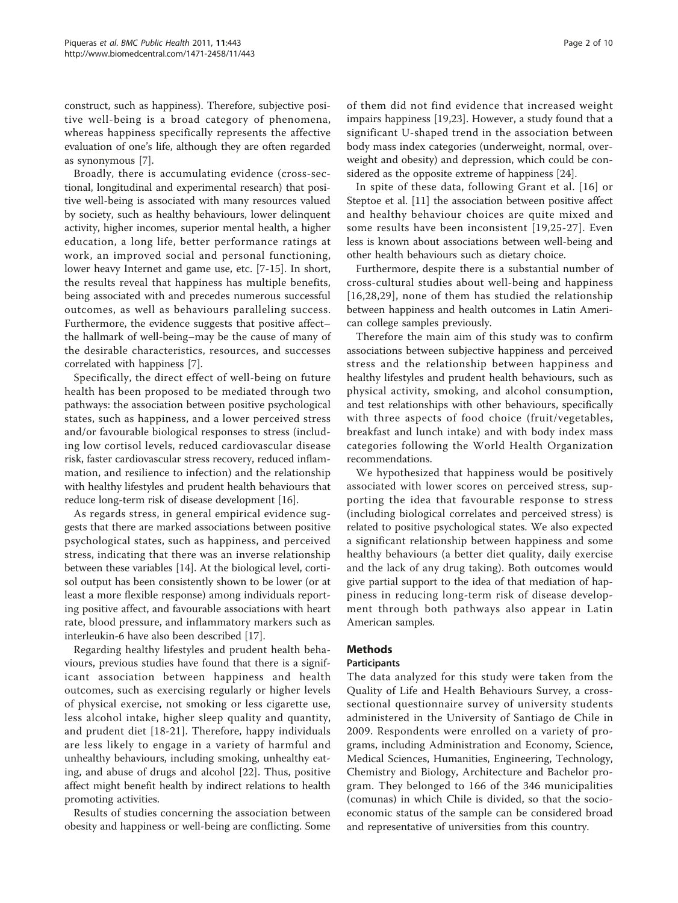construct, such as happiness). Therefore, subjective positive well-being is a broad category of phenomena, whereas happiness specifically represents the affective evaluation of one's life, although they are often regarded as synonymous [\[7\]](#page-9-0).

Broadly, there is accumulating evidence (cross-sectional, longitudinal and experimental research) that positive well-being is associated with many resources valued by society, such as healthy behaviours, lower delinquent activity, higher incomes, superior mental health, a higher education, a long life, better performance ratings at work, an improved social and personal functioning, lower heavy Internet and game use, etc. [\[7](#page-9-0)-[15\]](#page-9-0). In short, the results reveal that happiness has multiple benefits, being associated with and precedes numerous successful outcomes, as well as behaviours paralleling success. Furthermore, the evidence suggests that positive affect– the hallmark of well-being–may be the cause of many of the desirable characteristics, resources, and successes correlated with happiness [\[7\]](#page-9-0).

Specifically, the direct effect of well-being on future health has been proposed to be mediated through two pathways: the association between positive psychological states, such as happiness, and a lower perceived stress and/or favourable biological responses to stress (including low cortisol levels, reduced cardiovascular disease risk, faster cardiovascular stress recovery, reduced inflammation, and resilience to infection) and the relationship with healthy lifestyles and prudent health behaviours that reduce long-term risk of disease development [\[16](#page-9-0)].

As regards stress, in general empirical evidence suggests that there are marked associations between positive psychological states, such as happiness, and perceived stress, indicating that there was an inverse relationship between these variables [[14](#page-9-0)]. At the biological level, cortisol output has been consistently shown to be lower (or at least a more flexible response) among individuals reporting positive affect, and favourable associations with heart rate, blood pressure, and inflammatory markers such as interleukin-6 have also been described [\[17\]](#page-9-0).

Regarding healthy lifestyles and prudent health behaviours, previous studies have found that there is a significant association between happiness and health outcomes, such as exercising regularly or higher levels of physical exercise, not smoking or less cigarette use, less alcohol intake, higher sleep quality and quantity, and prudent diet [\[18-21](#page-9-0)]. Therefore, happy individuals are less likely to engage in a variety of harmful and unhealthy behaviours, including smoking, unhealthy eating, and abuse of drugs and alcohol [\[22](#page-9-0)]. Thus, positive affect might benefit health by indirect relations to health promoting activities.

Results of studies concerning the association between obesity and happiness or well-being are conflicting. Some of them did not find evidence that increased weight impairs happiness [\[19](#page-9-0),[23](#page-9-0)]. However, a study found that a significant U-shaped trend in the association between body mass index categories (underweight, normal, overweight and obesity) and depression, which could be considered as the opposite extreme of happiness [\[24\]](#page-9-0).

In spite of these data, following Grant et al. [[16\]](#page-9-0) or Steptoe et al. [[11\]](#page-9-0) the association between positive affect and healthy behaviour choices are quite mixed and some results have been inconsistent [[19](#page-9-0),[25](#page-9-0)-[27](#page-9-0)]. Even less is known about associations between well-being and other health behaviours such as dietary choice.

Furthermore, despite there is a substantial number of cross-cultural studies about well-being and happiness [[16,28](#page-9-0),[29](#page-9-0)], none of them has studied the relationship between happiness and health outcomes in Latin American college samples previously.

Therefore the main aim of this study was to confirm associations between subjective happiness and perceived stress and the relationship between happiness and healthy lifestyles and prudent health behaviours, such as physical activity, smoking, and alcohol consumption, and test relationships with other behaviours, specifically with three aspects of food choice (fruit/vegetables, breakfast and lunch intake) and with body index mass categories following the World Health Organization recommendations.

We hypothesized that happiness would be positively associated with lower scores on perceived stress, supporting the idea that favourable response to stress (including biological correlates and perceived stress) is related to positive psychological states. We also expected a significant relationship between happiness and some healthy behaviours (a better diet quality, daily exercise and the lack of any drug taking). Both outcomes would give partial support to the idea of that mediation of happiness in reducing long-term risk of disease development through both pathways also appear in Latin American samples.

## Methods

## Participants

The data analyzed for this study were taken from the Quality of Life and Health Behaviours Survey, a crosssectional questionnaire survey of university students administered in the University of Santiago de Chile in 2009. Respondents were enrolled on a variety of programs, including Administration and Economy, Science, Medical Sciences, Humanities, Engineering, Technology, Chemistry and Biology, Architecture and Bachelor program. They belonged to 166 of the 346 municipalities (comunas) in which Chile is divided, so that the socioeconomic status of the sample can be considered broad and representative of universities from this country.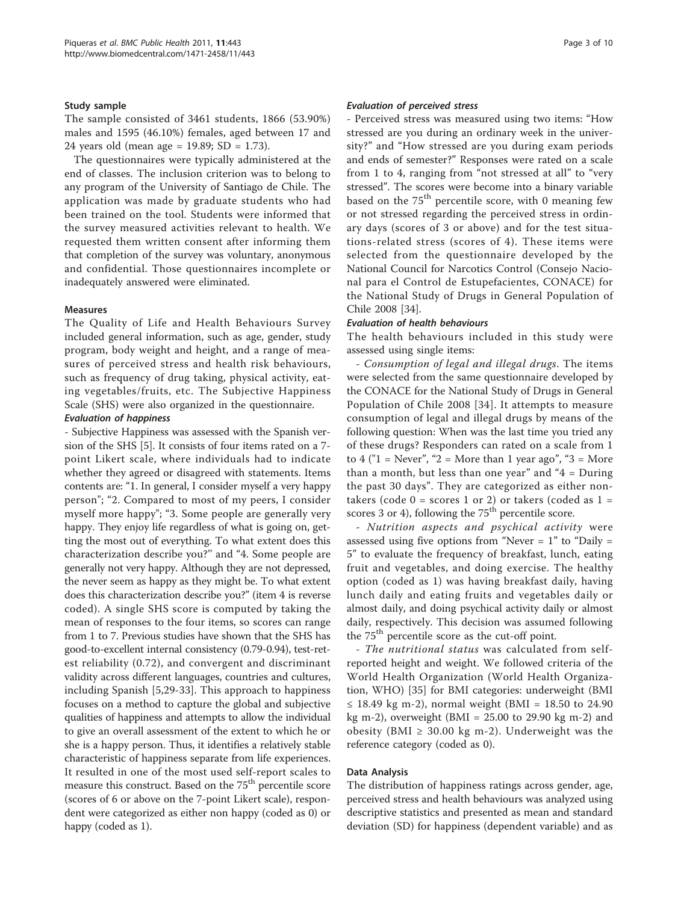#### Study sample

The sample consisted of 3461 students, 1866 (53.90%) males and 1595 (46.10%) females, aged between 17 and 24 years old (mean age = 19.89; SD = 1.73).

The questionnaires were typically administered at the end of classes. The inclusion criterion was to belong to any program of the University of Santiago de Chile. The application was made by graduate students who had been trained on the tool. Students were informed that the survey measured activities relevant to health. We requested them written consent after informing them that completion of the survey was voluntary, anonymous and confidential. Those questionnaires incomplete or inadequately answered were eliminated.

#### Measures

The Quality of Life and Health Behaviours Survey included general information, such as age, gender, study program, body weight and height, and a range of measures of perceived stress and health risk behaviours, such as frequency of drug taking, physical activity, eating vegetables/fruits, etc. The Subjective Happiness Scale (SHS) were also organized in the questionnaire.

#### Evaluation of happiness

- Subjective Happiness was assessed with the Spanish version of the SHS [\[5\]](#page-9-0). It consists of four items rated on a 7 point Likert scale, where individuals had to indicate whether they agreed or disagreed with statements. Items contents are: "1. In general, I consider myself a very happy person"; "2. Compared to most of my peers, I consider myself more happy"; "3. Some people are generally very happy. They enjoy life regardless of what is going on, getting the most out of everything. To what extent does this characterization describe you?'' and "4. Some people are generally not very happy. Although they are not depressed, the never seem as happy as they might be. To what extent does this characterization describe you?" (item 4 is reverse coded). A single SHS score is computed by taking the mean of responses to the four items, so scores can range from 1 to 7. Previous studies have shown that the SHS has good-to-excellent internal consistency (0.79-0.94), test-retest reliability (0.72), and convergent and discriminant validity across different languages, countries and cultures, including Spanish [[5,29-33\]](#page-9-0). This approach to happiness focuses on a method to capture the global and subjective qualities of happiness and attempts to allow the individual to give an overall assessment of the extent to which he or she is a happy person. Thus, it identifies a relatively stable characteristic of happiness separate from life experiences. It resulted in one of the most used self-report scales to measure this construct. Based on the 75<sup>th</sup> percentile score (scores of 6 or above on the 7-point Likert scale), respondent were categorized as either non happy (coded as 0) or happy (coded as 1).

#### Evaluation of perceived stress

- Perceived stress was measured using two items: "How stressed are you during an ordinary week in the university?" and "How stressed are you during exam periods and ends of semester?" Responses were rated on a scale from 1 to 4, ranging from "not stressed at all" to "very stressed". The scores were become into a binary variable based on the  $75<sup>th</sup>$  percentile score, with 0 meaning few or not stressed regarding the perceived stress in ordinary days (scores of 3 or above) and for the test situations-related stress (scores of 4). These items were selected from the questionnaire developed by the National Council for Narcotics Control (Consejo Nacional para el Control de Estupefacientes, CONACE) for the National Study of Drugs in General Population of Chile 2008 [\[34\]](#page-9-0).

#### Evaluation of health behaviours

The health behaviours included in this study were assessed using single items:

- Consumption of legal and illegal drugs. The items were selected from the same questionnaire developed by the CONACE for the National Study of Drugs in General Population of Chile 2008 [[34\]](#page-9-0). It attempts to measure consumption of legal and illegal drugs by means of the following question: When was the last time you tried any of these drugs? Responders can rated on a scale from 1 to 4 ("1 = Never", "2 = More than 1 year ago", "3 = More than a month, but less than one year" and " $4 =$  During the past 30 days". They are categorized as either nontakers (code  $0 =$  scores 1 or 2) or takers (coded as  $1 =$ scores 3 or 4), following the  $75<sup>th</sup>$  percentile score.

- Nutrition aspects and psychical activity were assessed using five options from "Never  $= 1$ " to "Daily  $=$ 5" to evaluate the frequency of breakfast, lunch, eating fruit and vegetables, and doing exercise. The healthy option (coded as 1) was having breakfast daily, having lunch daily and eating fruits and vegetables daily or almost daily, and doing psychical activity daily or almost daily, respectively. This decision was assumed following the  $75<sup>th</sup>$  percentile score as the cut-off point.

- The nutritional status was calculated from selfreported height and weight. We followed criteria of the World Health Organization (World Health Organization, WHO) [[35\]](#page-9-0) for BMI categories: underweight (BMI ≤ 18.49 kg m-2), normal weight (BMI = 18.50 to 24.90 kg m-2), overweight (BMI = 25.00 to 29.90 kg m-2) and obesity (BMI  $\geq$  30.00 kg m-2). Underweight was the reference category (coded as 0).

#### Data Analysis

The distribution of happiness ratings across gender, age, perceived stress and health behaviours was analyzed using descriptive statistics and presented as mean and standard deviation (SD) for happiness (dependent variable) and as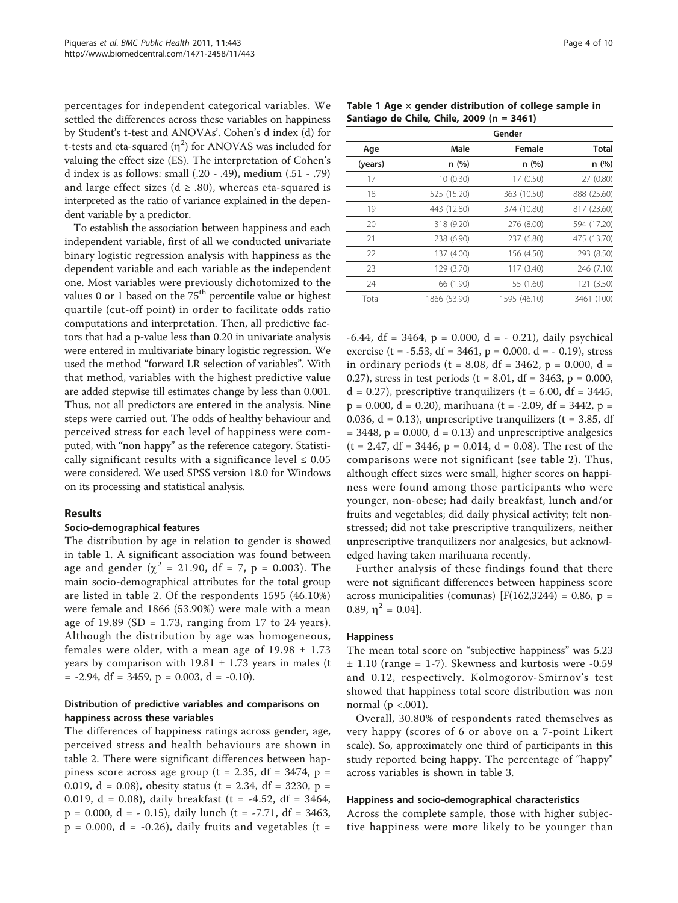percentages for independent categorical variables. We settled the differences across these variables on happiness by Student's t-test and ANOVAs'. Cohen's d index (d) for t-tests and eta-squared  $(\eta^2)$  for ANOVAS was included for valuing the effect size (ES). The interpretation of Cohen's d index is as follows: small (.20 - .49), medium (.51 - .79) and large effect sizes ( $d \ge .80$ ), whereas eta-squared is interpreted as the ratio of variance explained in the dependent variable by a predictor.

To establish the association between happiness and each independent variable, first of all we conducted univariate binary logistic regression analysis with happiness as the dependent variable and each variable as the independent one. Most variables were previously dichotomized to the values 0 or 1 based on the  $75<sup>th</sup>$  percentile value or highest quartile (cut-off point) in order to facilitate odds ratio computations and interpretation. Then, all predictive factors that had a p-value less than 0.20 in univariate analysis were entered in multivariate binary logistic regression. We used the method "forward LR selection of variables". With that method, variables with the highest predictive value are added stepwise till estimates change by less than 0.001. Thus, not all predictors are entered in the analysis. Nine steps were carried out. The odds of healthy behaviour and perceived stress for each level of happiness were computed, with "non happy" as the reference category. Statistically significant results with a significance level  $\leq 0.05$ were considered. We used SPSS version 18.0 for Windows on its processing and statistical analysis.

## Results

#### Socio-demographical features

The distribution by age in relation to gender is showed in table 1. A significant association was found between age and gender ( $\chi^2$  = 21.90, df = 7, p = 0.003). The main socio-demographical attributes for the total group are listed in table [2.](#page-4-0) Of the respondents 1595 (46.10%) were female and 1866 (53.90%) were male with a mean age of 19.89 (SD = 1.73, ranging from 17 to 24 years). Although the distribution by age was homogeneous, females were older, with a mean age of  $19.98 \pm 1.73$ years by comparison with  $19.81 \pm 1.73$  years in males (t  $= -2.94$ , df  $= 3459$ ,  $p = 0.003$ , d  $= -0.10$ ).

## Distribution of predictive variables and comparisons on happiness across these variables

The differences of happiness ratings across gender, age, perceived stress and health behaviours are shown in table [2.](#page-4-0) There were significant differences between happiness score across age group ( $t = 2.35$ , df = 3474, p = 0.019, d = 0.08), obesity status (t = 2.34, df = 3230, p = 0.019,  $d = 0.08$ ), daily breakfast (t = -4.52, df = 3464,  $p = 0.000$ ,  $d = -0.15$ ), daily lunch (t = -7.71, df = 3463,  $p = 0.000$ ,  $d = -0.26$ ), daily fruits and vegetables (t =

Table 1 Age  $\times$  gender distribution of college sample in Santiago de Chile, Chile, 2009 (n = 3461)

|         |              | Gender       |              |
|---------|--------------|--------------|--------------|
| Age     | Male         | Female       | <b>Total</b> |
| (years) | n(%)         | n(%)         | n(%)         |
| 17      | 10(0.30)     | 17 (0.50)    | 27 (0.80)    |
| 18      | 525 (15.20)  | 363 (10.50)  | 888 (25.60)  |
| 19      | 443 (12.80)  | 374 (10.80)  | 817 (23.60)  |
| 20      | 318 (9.20)   | 276 (8.00)   | 594 (17.20)  |
| 21      | 238 (6.90)   | 237 (6.80)   | 475 (13.70)  |
| 22      | 137 (4.00)   | 156 (4.50)   | 293 (8.50)   |
| 23      | 129 (3.70)   | 117 (3.40)   | 246 (7.10)   |
| 24      | 66 (1.90)    | 55 (1.60)    | 121 (3.50)   |
| Total   | 1866 (53.90) | 1595 (46.10) | 3461 (100)   |

 $-6.44$ , df = 3464, p = 0.000, d =  $-0.21$ ), daily psychical exercise (t =  $-5.53$ , df = 3461, p = 0.000. d =  $-0.19$ ), stress in ordinary periods (t = 8.08, df = 3462, p = 0.000, d = 0.27), stress in test periods (t = 8.01, df = 3463, p = 0.000,  $d = 0.27$ ), prescriptive tranquilizers (t = 6.00, df = 3445,  $p = 0.000$ ,  $d = 0.20$ ), marihuana (t = -2.09, df = 3442, p = 0.036,  $d = 0.13$ ), unprescriptive tranquilizers (t = 3.85, df  $= 3448$ ,  $p = 0.000$ ,  $d = 0.13$  and unprescriptive analgesics  $(t = 2.47, df = 3446, p = 0.014, d = 0.08)$ . The rest of the comparisons were not significant (see table [2\)](#page-4-0). Thus, although effect sizes were small, higher scores on happiness were found among those participants who were younger, non-obese; had daily breakfast, lunch and/or fruits and vegetables; did daily physical activity; felt nonstressed; did not take prescriptive tranquilizers, neither unprescriptive tranquilizers nor analgesics, but acknowledged having taken marihuana recently.

Further analysis of these findings found that there were not significant differences between happiness score across municipalities (comunas)  $[F(162,3244) = 0.86, p =$ 0.89,  $\eta^2 = 0.04$ .

#### Happiness

The mean total score on "subjective happiness" was 5.23  $± 1.10$  (range = 1-7). Skewness and kurtosis were -0.59 and 0.12, respectively. Kolmogorov-Smirnov's test showed that happiness total score distribution was non normal ( $p < .001$ ).

Overall, 30.80% of respondents rated themselves as very happy (scores of 6 or above on a 7-point Likert scale). So, approximately one third of participants in this study reported being happy. The percentage of "happy" across variables is shown in table [3](#page-5-0).

#### Happiness and socio-demographical characteristics

Across the complete sample, those with higher subjective happiness were more likely to be younger than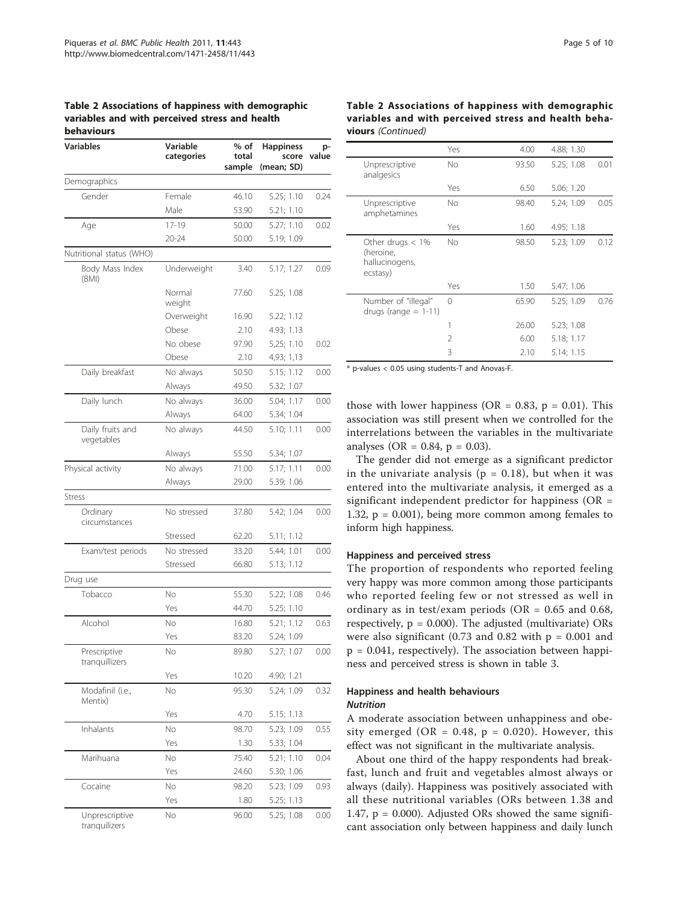<span id="page-4-0"></span>Table 2 Associations of happiness with demographic variables and with perceived stress and health behaviours

| <b>Variables</b>                | Variable<br>categories | $%$ of<br>total<br>sample | <b>Happiness</b><br>score<br>(mean; SD) | p-<br>value |
|---------------------------------|------------------------|---------------------------|-----------------------------------------|-------------|
| Demographics                    |                        |                           |                                         |             |
| Gender                          | Female                 | 46.10                     | 5.25; 1.10                              | 0.24        |
|                                 | Male                   | 53.90                     | 5.21; 1.10                              |             |
| Age                             | 17-19                  | 50.00                     | 5.27; 1.10                              | 0.02        |
|                                 | $20 - 24$              | 50.00                     | 5.19; 1.09                              |             |
| Nutritional status (WHO)        |                        |                           |                                         |             |
| Body Mass Index<br>(BMI)        | Underweight            | 3.40                      | 5.17; 1.27                              | 0.09        |
|                                 | Normal<br>weight       | 77.60                     | 5.25; 1.08                              |             |
|                                 | Overweight             | 16.90                     | 5.22; 1.12                              |             |
|                                 | Obese                  | 2.10                      | 4.93; 1.13                              |             |
|                                 | No obese               | 97.90                     | 5,25; 1.10                              | 0.02        |
|                                 | Obese                  | 2.10                      | 4,93; 1,13                              |             |
| Daily breakfast                 | No always              | 50.50                     | 5.15; 1.12                              | 0.00        |
|                                 | Always                 | 49.50                     | 5.32; 1.07                              |             |
| Daily lunch                     | No always              | 36.00                     | 5.04; 1.17                              | 0.00        |
|                                 | Always                 | 64.00                     | 5.34; 1.04                              |             |
| Daily fruits and<br>vegetables  | No always              | 44.50                     | 5.10; 1.11                              | 0.00        |
|                                 | Always                 | 55.50                     | 5.34; 1.07                              |             |
| Physical activity               | No always              | 71.00                     | 5.17; 1.11                              | 0.00        |
|                                 | Always                 | 29.00                     | 5.39; 1.06                              |             |
| <b>Stress</b>                   |                        |                           |                                         |             |
| Ordinary<br>circumstances       | No stressed            | 37.80                     | 5.42; 1.04                              | 0.00        |
|                                 | Stressed               | 62.20                     | 5.11; 1.12                              |             |
| Exam/test periods               | No stressed            | 33.20                     | 5.44; 1.01                              | 0.00        |
|                                 | Stressed               | 66.80                     | 5.13; 1.12                              |             |
| Drug use                        |                        |                           |                                         |             |
| Tobacco                         | No                     | 55.30                     | 5.22; 1.08                              | 0.46        |
|                                 | Yes                    | 44.70                     | 5.25; 1.10                              |             |
| Alcohol                         | No                     | 16.80                     | 5.21; 1.12                              | 0.63        |
|                                 | Yes                    | 83.20                     | 5.24; 1.09                              |             |
| Prescriptive<br>tranquillizers  | No                     | 89.80                     | 5.27; 1.07                              | 0.00        |
|                                 | Yes                    | 10.20                     | 4.90; 1.21                              |             |
| Modafinil (i.e.,<br>Mentix)     | No                     | 95.30                     | 5.24; 1.09                              | 0.32        |
|                                 | Yes                    | 4.70                      | 5.15; 1.13                              |             |
| Inhalants                       | Νo                     | 98.70                     | 5.23; 1.09                              | 0.55        |
|                                 | Yes                    | 1.30                      | 5.33; 1.04                              |             |
| Marihuana                       | No                     | 75.40                     | 5.21; 1.10                              | 0.04        |
|                                 | Yes                    | 24.60                     | 5.30; 1.06                              |             |
| Cocaine                         | Νo                     | 98.20                     | 5.23; 1.09                              | 0.93        |
|                                 | Yes                    | 1.80                      | 5.25; 1.13                              |             |
| Unprescriptive<br>tranquilizers | Νo                     | 96.00                     | 5.25; 1.08                              | 0.00        |

## Table 2 Associations of happiness with demographic variables and with perceived stress and health behaviours (Continued)

|                                                               | Yes       | 4.00  | 4.88; 1.30 |      |
|---------------------------------------------------------------|-----------|-------|------------|------|
| Unprescriptive<br>analgesics                                  | No.       | 93.50 | 5.25; 1.08 | 0.01 |
|                                                               | Yes       | 6.50  | 5.06; 1.20 |      |
| Unprescriptive<br>amphetamines                                | No        | 98.40 | 5.24; 1.09 | 0.05 |
|                                                               | Yes       | 1.60  | 4.95; 1.18 |      |
| Other drugs $<$ 1%<br>(heroine,<br>hallucinogens,<br>ecstasy) | No        | 98.50 | 5.23; 1.09 | 0.12 |
|                                                               | Yes       | 1.50  | 5.47; 1.06 |      |
| Number of "illegal"<br>drugs (range $= 1-11$ )                | $\bigcap$ | 65.90 | 5.25; 1.09 | 0.76 |
|                                                               | 1         | 26.00 | 5.23; 1.08 |      |
|                                                               | 2         | 6.00  | 5.18; 1.17 |      |
|                                                               | 3         | 2.10  | 5.14; 1.15 |      |

\* p-values < 0.05 using students-T and Anovas-F.

those with lower happiness ( $OR = 0.83$ ,  $p = 0.01$ ). This association was still present when we controlled for the interrelations between the variables in the multivariate analyses (OR =  $0.84$ , p = 0.03).

The gender did not emerge as a significant predictor in the univariate analysis ( $p = 0.18$ ), but when it was entered into the multivariate analysis, it emerged as a significant independent predictor for happiness ( $OR =$ 1.32,  $p = 0.001$ , being more common among females to inform high happiness.

#### Happiness and perceived stress

The proportion of respondents who reported feeling very happy was more common among those participants who reported feeling few or not stressed as well in ordinary as in test/exam periods (OR =  $0.65$  and 0.68, respectively,  $p = 0.000$ ). The adjusted (multivariate) ORs were also significant (0.73 and 0.82 with  $p = 0.001$  and  $p = 0.041$ , respectively). The association between happiness and perceived stress is shown in table [3.](#page-5-0)

#### Happiness and health behaviours **Nutrition**

A moderate association between unhappiness and obesity emerged (OR =  $0.48$ , p =  $0.020$ ). However, this effect was not significant in the multivariate analysis.

About one third of the happy respondents had breakfast, lunch and fruit and vegetables almost always or always (daily). Happiness was positively associated with all these nutritional variables (ORs between 1.38 and 1.47,  $p = 0.000$ ). Adjusted ORs showed the same significant association only between happiness and daily lunch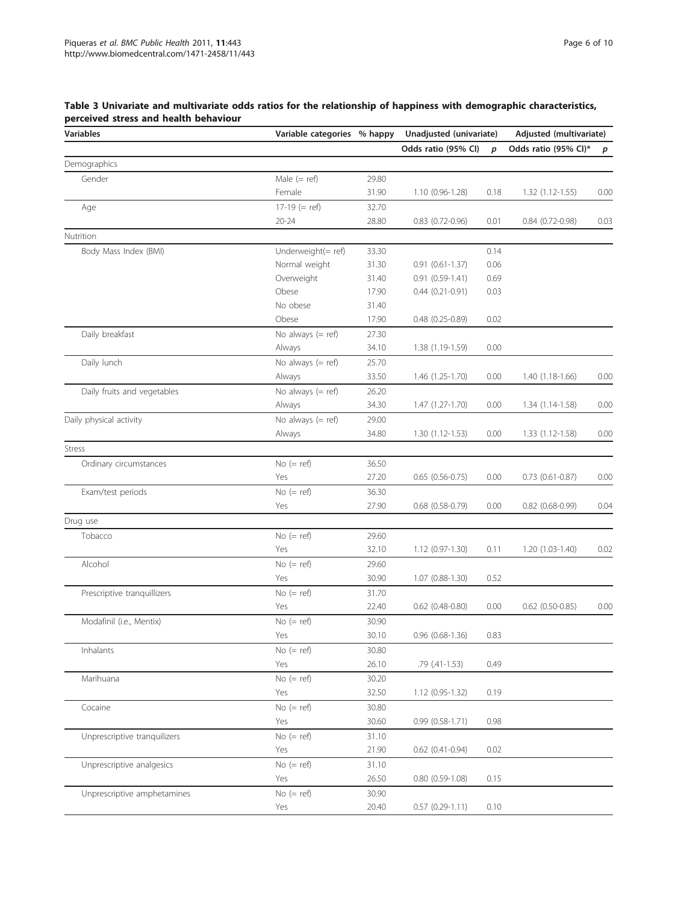## <span id="page-5-0"></span>Table 3 Univariate and multivariate odds ratios for the relationship of happiness with demographic characteristics, perceived stress and health behaviour

| <b>Variables</b>             | Variable categories % happy |       | Unadjusted (univariate) |                  | Adjusted (multivariate) |      |
|------------------------------|-----------------------------|-------|-------------------------|------------------|-------------------------|------|
|                              |                             |       | Odds ratio (95% CI)     | $\boldsymbol{p}$ | Odds ratio (95% Cl)*    | p    |
| Demographics                 |                             |       |                         |                  |                         |      |
| Gender                       | Male $(= ref)$              | 29.80 |                         |                  |                         |      |
|                              | Female                      | 31.90 | 1.10 (0.96-1.28)        | 0.18             | $1.32(1.12-1.55)$       | 0.00 |
| Age                          | $17-19 (= ref)$             | 32.70 |                         |                  |                         |      |
|                              | $20 - 24$                   | 28.80 | $0.83$ $(0.72 - 0.96)$  | 0.01             | $0.84$ $(0.72 - 0.98)$  | 0.03 |
| Nutrition                    |                             |       |                         |                  |                         |      |
| Body Mass Index (BMI)        | Underweight(= ref)          | 33.30 |                         | 0.14             |                         |      |
|                              | Normal weight               | 31.30 | $0.91$ $(0.61 - 1.37)$  | 0.06             |                         |      |
|                              | Overweight                  | 31.40 | $0.91(0.59-1.41)$       | 0.69             |                         |      |
|                              | Obese                       | 17.90 | $0.44$ $(0.21 - 0.91)$  | 0.03             |                         |      |
|                              | No obese                    | 31.40 |                         |                  |                         |      |
|                              | Obese                       | 17.90 | $0.48$ $(0.25 - 0.89)$  | 0.02             |                         |      |
| Daily breakfast              | No always $(= ref)$         | 27.30 |                         |                  |                         |      |
|                              | Always                      | 34.10 | 1.38 (1.19-1.59)        | 0.00             |                         |      |
| Daily lunch                  | No always $(= ref)$         | 25.70 |                         |                  |                         |      |
|                              | Always                      | 33.50 | 1.46 (1.25-1.70)        | 0.00             | 1.40 (1.18-1.66)        | 0.00 |
| Daily fruits and vegetables  | No always $(= ref)$         | 26.20 |                         |                  |                         |      |
|                              | Always                      | 34.30 | 1.47 (1.27-1.70)        | 0.00             | $1.34(1.14-1.58)$       | 0.00 |
| Daily physical activity      | No always $(= ref)$         | 29.00 |                         |                  |                         |      |
|                              | Always                      | 34.80 | $1.30(1.12-1.53)$       | 0.00             | 1.33 (1.12-1.58)        | 0.00 |
| <b>Stress</b>                |                             |       |                         |                  |                         |      |
| Ordinary circumstances       | No $(= ref)$                | 36.50 |                         |                  |                         |      |
|                              | Yes                         | 27.20 | $0.65$ $(0.56 - 0.75)$  | 0.00             | $0.73$ $(0.61 - 0.87)$  | 0.00 |
|                              | No $(= ref)$                | 36.30 |                         |                  |                         |      |
| Exam/test periods            | Yes                         |       |                         |                  |                         |      |
|                              |                             | 27.90 | $0.68$ $(0.58 - 0.79)$  | 0.00             | $0.82$ $(0.68 - 0.99)$  | 0.04 |
| Drug use                     |                             |       |                         |                  |                         |      |
| Tobacco                      | No $(= ref)$                | 29.60 |                         |                  |                         |      |
|                              | Yes                         | 32.10 | $1.12(0.97 - 1.30)$     | 0.11             | 1.20 (1.03-1.40)        | 0.02 |
| Alcohol                      | No $(= ref)$                | 29.60 |                         |                  |                         |      |
|                              | Yes                         | 30.90 | 1.07 (0.88-1.30)        | 0.52             |                         |      |
| Prescriptive tranquillizers  | No $(= ref)$                | 31.70 |                         |                  |                         |      |
|                              | Yes                         | 22.40 | $0.62$ $(0.48 - 0.80)$  | 0.00             | $0.62$ (0.50-0.85)      | 0.00 |
| Modafinil (i.e., Mentix)     | $No (= ref)$                | 30.90 |                         |                  |                         |      |
|                              | Yes                         | 30.10 | 0.96 (0.68-1.36)        | 0.83             |                         |      |
| Inhalants                    | No $(= ref)$                | 30.80 |                         |                  |                         |      |
|                              | Yes                         | 26.10 | $.79$ $(.41-1.53)$      | 0.49             |                         |      |
| Marihuana                    | No $(= ref)$                | 30.20 |                         |                  |                         |      |
|                              | Yes                         | 32.50 | 1.12 (0.95-1.32)        | 0.19             |                         |      |
| Cocaine                      | No $(= ref)$                | 30.80 |                         |                  |                         |      |
|                              | Yes                         | 30.60 | $0.99$ $(0.58-1.71)$    | 0.98             |                         |      |
| Unprescriptive tranquilizers | No $(= ref)$                | 31.10 |                         |                  |                         |      |
|                              | Yes                         | 21.90 | $0.62$ $(0.41 - 0.94)$  | 0.02             |                         |      |
| Unprescriptive analgesics    | No $(= ref)$                | 31.10 |                         |                  |                         |      |
|                              | Yes                         | 26.50 | $0.80$ $(0.59-1.08)$    | 0.15             |                         |      |
| Unprescriptive amphetamines  | No $(= ref)$                | 30.90 |                         |                  |                         |      |
|                              | Yes                         | 20.40 |                         | 0.10             |                         |      |
|                              |                             |       | $0.57(0.29-1.11)$       |                  |                         |      |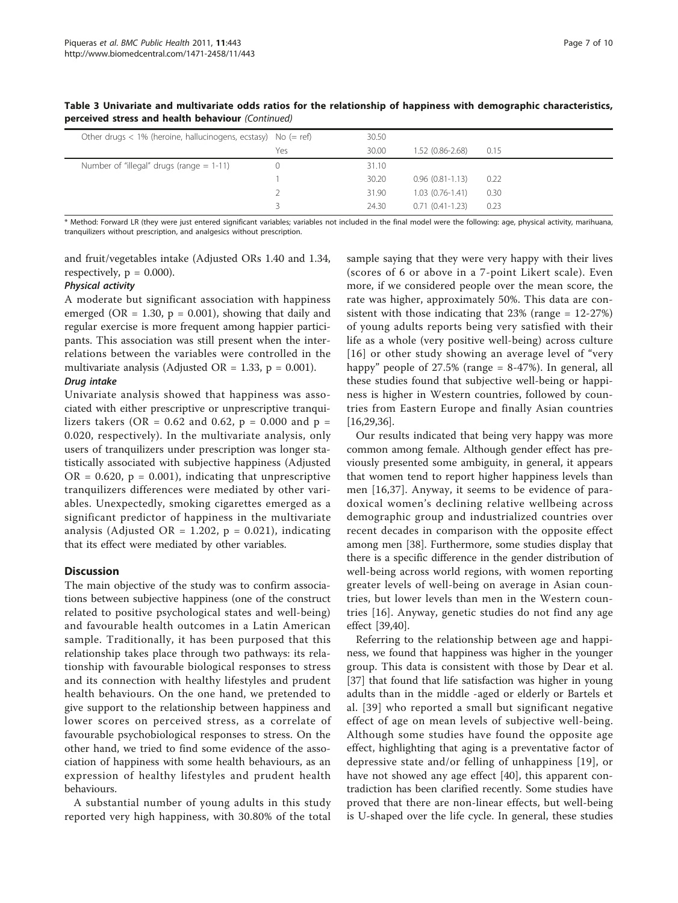| Other drugs $<$ 1% (heroine, hallucinogens, ecstasy) No (= ref) |     | 30.50 |                     |      |  |
|-----------------------------------------------------------------|-----|-------|---------------------|------|--|
|                                                                 | Yes | 30.00 | 1.52 (0.86-2.68)    | 0.15 |  |
| Number of "illegal" drugs (range $= 1-11$ )                     |     | 31.10 |                     |      |  |
|                                                                 |     | 30.20 | $0.96(0.81 - 1.13)$ | 0.22 |  |
|                                                                 |     | 31.90 | $1.03(0.76-1.41)$   | 0.30 |  |
|                                                                 |     | 24.30 | $0.71(0.41-1.23)$   | 0.23 |  |

Table 3 Univariate and multivariate odds ratios for the relationship of happiness with demographic characteristics, perceived stress and health behaviour (Continued)

\* Method: Forward LR (they were just entered significant variables; variables not included in the final model were the following: age, physical activity, marihuana, tranquilizers without prescription, and analgesics without prescription.

and fruit/vegetables intake (Adjusted ORs 1.40 and 1.34, respectively,  $p = 0.000$ .

#### Physical activity

A moderate but significant association with happiness emerged (OR =  $1.30$ ,  $p = 0.001$ ), showing that daily and regular exercise is more frequent among happier participants. This association was still present when the interrelations between the variables were controlled in the multivariate analysis (Adjusted OR = 1.33,  $p = 0.001$ ).

#### Drug intake

Univariate analysis showed that happiness was associated with either prescriptive or unprescriptive tranquilizers takers (OR =  $0.62$  and  $0.62$ , p =  $0.000$  and p = 0.020, respectively). In the multivariate analysis, only users of tranquilizers under prescription was longer statistically associated with subjective happiness (Adjusted  $OR = 0.620$ ,  $p = 0.001$ ), indicating that unprescriptive tranquilizers differences were mediated by other variables. Unexpectedly, smoking cigarettes emerged as a significant predictor of happiness in the multivariate analysis (Adjusted OR = 1.202,  $p = 0.021$ ), indicating that its effect were mediated by other variables.

## **Discussion**

The main objective of the study was to confirm associations between subjective happiness (one of the construct related to positive psychological states and well-being) and favourable health outcomes in a Latin American sample. Traditionally, it has been purposed that this relationship takes place through two pathways: its relationship with favourable biological responses to stress and its connection with healthy lifestyles and prudent health behaviours. On the one hand, we pretended to give support to the relationship between happiness and lower scores on perceived stress, as a correlate of favourable psychobiological responses to stress. On the other hand, we tried to find some evidence of the association of happiness with some health behaviours, as an expression of healthy lifestyles and prudent health behaviours.

A substantial number of young adults in this study reported very high happiness, with 30.80% of the total sample saying that they were very happy with their lives (scores of 6 or above in a 7-point Likert scale). Even more, if we considered people over the mean score, the rate was higher, approximately 50%. This data are consistent with those indicating that 23% (range = 12-27%) of young adults reports being very satisfied with their life as a whole (very positive well-being) across culture [[16\]](#page-9-0) or other study showing an average level of "very happy" people of 27.5% (range = 8-47%). In general, all these studies found that subjective well-being or happiness is higher in Western countries, followed by countries from Eastern Europe and finally Asian countries [[16,29,36](#page-9-0)].

Our results indicated that being very happy was more common among female. Although gender effect has previously presented some ambiguity, in general, it appears that women tend to report higher happiness levels than men [[16,37\]](#page-9-0). Anyway, it seems to be evidence of paradoxical women's declining relative wellbeing across demographic group and industrialized countries over recent decades in comparison with the opposite effect among men [[38\]](#page-9-0). Furthermore, some studies display that there is a specific difference in the gender distribution of well-being across world regions, with women reporting greater levels of well-being on average in Asian countries, but lower levels than men in the Western countries [[16](#page-9-0)]. Anyway, genetic studies do not find any age effect [\[39,40\]](#page-9-0).

Referring to the relationship between age and happiness, we found that happiness was higher in the younger group. This data is consistent with those by Dear et al. [[37\]](#page-9-0) that found that life satisfaction was higher in young adults than in the middle -aged or elderly or Bartels et al. [[39](#page-9-0)] who reported a small but significant negative effect of age on mean levels of subjective well-being. Although some studies have found the opposite age effect, highlighting that aging is a preventative factor of depressive state and/or felling of unhappiness [[19](#page-9-0)], or have not showed any age effect [[40\]](#page-9-0), this apparent contradiction has been clarified recently. Some studies have proved that there are non-linear effects, but well-being is U-shaped over the life cycle. In general, these studies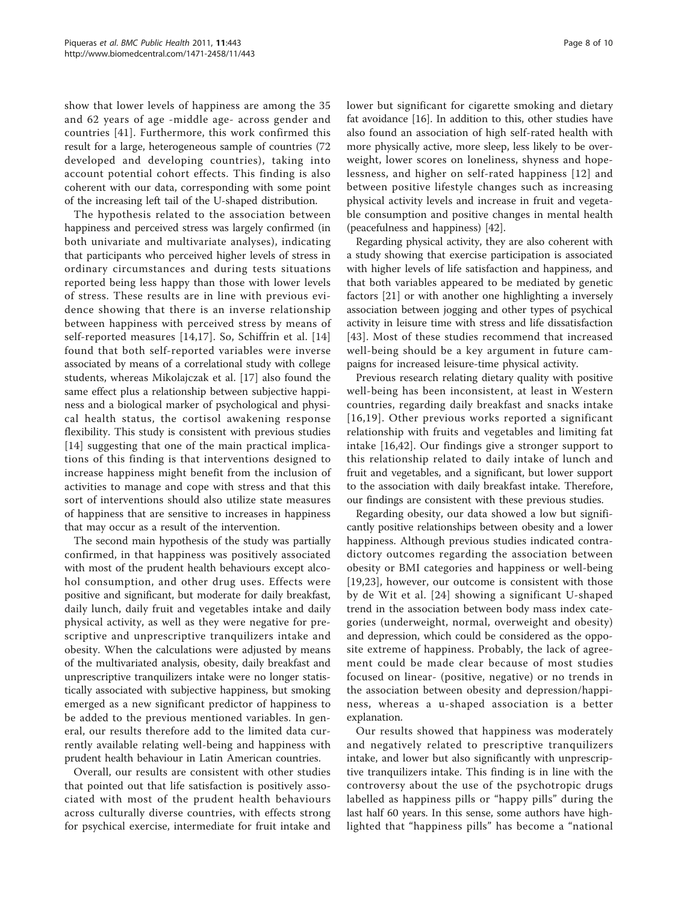show that lower levels of happiness are among the 35 and 62 years of age -middle age- across gender and countries [\[41\]](#page-9-0). Furthermore, this work confirmed this result for a large, heterogeneous sample of countries (72 developed and developing countries), taking into account potential cohort effects. This finding is also coherent with our data, corresponding with some point of the increasing left tail of the U-shaped distribution.

The hypothesis related to the association between happiness and perceived stress was largely confirmed (in both univariate and multivariate analyses), indicating that participants who perceived higher levels of stress in ordinary circumstances and during tests situations reported being less happy than those with lower levels of stress. These results are in line with previous evidence showing that there is an inverse relationship between happiness with perceived stress by means of self-reported measures [[14](#page-9-0),[17\]](#page-9-0). So, Schiffrin et al. [\[14](#page-9-0)] found that both self-reported variables were inverse associated by means of a correlational study with college students, whereas Mikolajczak et al. [[17\]](#page-9-0) also found the same effect plus a relationship between subjective happiness and a biological marker of psychological and physical health status, the cortisol awakening response flexibility. This study is consistent with previous studies [[14](#page-9-0)] suggesting that one of the main practical implications of this finding is that interventions designed to increase happiness might benefit from the inclusion of activities to manage and cope with stress and that this sort of interventions should also utilize state measures of happiness that are sensitive to increases in happiness that may occur as a result of the intervention.

The second main hypothesis of the study was partially confirmed, in that happiness was positively associated with most of the prudent health behaviours except alcohol consumption, and other drug uses. Effects were positive and significant, but moderate for daily breakfast, daily lunch, daily fruit and vegetables intake and daily physical activity, as well as they were negative for prescriptive and unprescriptive tranquilizers intake and obesity. When the calculations were adjusted by means of the multivariated analysis, obesity, daily breakfast and unprescriptive tranquilizers intake were no longer statistically associated with subjective happiness, but smoking emerged as a new significant predictor of happiness to be added to the previous mentioned variables. In general, our results therefore add to the limited data currently available relating well-being and happiness with prudent health behaviour in Latin American countries.

Overall, our results are consistent with other studies that pointed out that life satisfaction is positively associated with most of the prudent health behaviours across culturally diverse countries, with effects strong for psychical exercise, intermediate for fruit intake and lower but significant for cigarette smoking and dietary fat avoidance [\[16\]](#page-9-0). In addition to this, other studies have also found an association of high self-rated health with more physically active, more sleep, less likely to be overweight, lower scores on loneliness, shyness and hopelessness, and higher on self-rated happiness [\[12\]](#page-9-0) and between positive lifestyle changes such as increasing physical activity levels and increase in fruit and vegetable consumption and positive changes in mental health (peacefulness and happiness) [\[42](#page-9-0)].

Regarding physical activity, they are also coherent with a study showing that exercise participation is associated with higher levels of life satisfaction and happiness, and that both variables appeared to be mediated by genetic factors [[21\]](#page-9-0) or with another one highlighting a inversely association between jogging and other types of psychical activity in leisure time with stress and life dissatisfaction [[43](#page-9-0)]. Most of these studies recommend that increased well-being should be a key argument in future campaigns for increased leisure-time physical activity.

Previous research relating dietary quality with positive well-being has been inconsistent, at least in Western countries, regarding daily breakfast and snacks intake [[16,19\]](#page-9-0). Other previous works reported a significant relationship with fruits and vegetables and limiting fat intake [\[16,42\]](#page-9-0). Our findings give a stronger support to this relationship related to daily intake of lunch and fruit and vegetables, and a significant, but lower support to the association with daily breakfast intake. Therefore, our findings are consistent with these previous studies.

Regarding obesity, our data showed a low but significantly positive relationships between obesity and a lower happiness. Although previous studies indicated contradictory outcomes regarding the association between obesity or BMI categories and happiness or well-being [[19,23](#page-9-0)], however, our outcome is consistent with those by de Wit et al. [[24\]](#page-9-0) showing a significant U-shaped trend in the association between body mass index categories (underweight, normal, overweight and obesity) and depression, which could be considered as the opposite extreme of happiness. Probably, the lack of agreement could be made clear because of most studies focused on linear- (positive, negative) or no trends in the association between obesity and depression/happiness, whereas a u-shaped association is a better explanation.

Our results showed that happiness was moderately and negatively related to prescriptive tranquilizers intake, and lower but also significantly with unprescriptive tranquilizers intake. This finding is in line with the controversy about the use of the psychotropic drugs labelled as happiness pills or "happy pills" during the last half 60 years. In this sense, some authors have highlighted that "happiness pills" has become a "national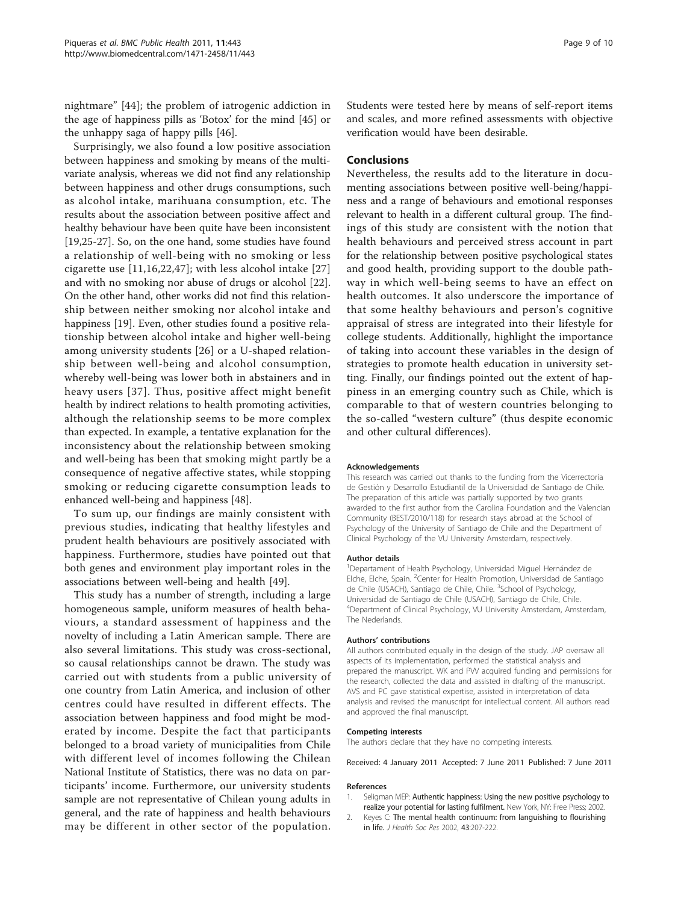<span id="page-8-0"></span>nightmare" [[44\]](#page-9-0); the problem of iatrogenic addiction in the age of happiness pills as 'Botox' for the mind [[45](#page-9-0)] or the unhappy saga of happy pills [\[46](#page-9-0)].

Surprisingly, we also found a low positive association between happiness and smoking by means of the multivariate analysis, whereas we did not find any relationship between happiness and other drugs consumptions, such as alcohol intake, marihuana consumption, etc. The results about the association between positive affect and healthy behaviour have been quite have been inconsistent [[19,25-27\]](#page-9-0). So, on the one hand, some studies have found a relationship of well-being with no smoking or less cigarette use [[11](#page-9-0),[16,22,47\]](#page-9-0); with less alcohol intake [\[27](#page-9-0)] and with no smoking nor abuse of drugs or alcohol [\[22](#page-9-0)]. On the other hand, other works did not find this relationship between neither smoking nor alcohol intake and happiness [\[19](#page-9-0)]. Even, other studies found a positive relationship between alcohol intake and higher well-being among university students [[26\]](#page-9-0) or a U-shaped relationship between well-being and alcohol consumption, whereby well-being was lower both in abstainers and in heavy users [[37](#page-9-0)]. Thus, positive affect might benefit health by indirect relations to health promoting activities, although the relationship seems to be more complex than expected. In example, a tentative explanation for the inconsistency about the relationship between smoking and well-being has been that smoking might partly be a consequence of negative affective states, while stopping smoking or reducing cigarette consumption leads to enhanced well-being and happiness [\[48](#page-9-0)].

To sum up, our findings are mainly consistent with previous studies, indicating that healthy lifestyles and prudent health behaviours are positively associated with happiness. Furthermore, studies have pointed out that both genes and environment play important roles in the associations between well-being and health [[49\]](#page-9-0).

This study has a number of strength, including a large homogeneous sample, uniform measures of health behaviours, a standard assessment of happiness and the novelty of including a Latin American sample. There are also several limitations. This study was cross-sectional, so causal relationships cannot be drawn. The study was carried out with students from a public university of one country from Latin America, and inclusion of other centres could have resulted in different effects. The association between happiness and food might be moderated by income. Despite the fact that participants belonged to a broad variety of municipalities from Chile with different level of incomes following the Chilean National Institute of Statistics, there was no data on participants' income. Furthermore, our university students sample are not representative of Chilean young adults in general, and the rate of happiness and health behaviours may be different in other sector of the population.

Students were tested here by means of self-report items and scales, and more refined assessments with objective verification would have been desirable.

#### Conclusions

Nevertheless, the results add to the literature in documenting associations between positive well-being/happiness and a range of behaviours and emotional responses relevant to health in a different cultural group. The findings of this study are consistent with the notion that health behaviours and perceived stress account in part for the relationship between positive psychological states and good health, providing support to the double pathway in which well-being seems to have an effect on health outcomes. It also underscore the importance of that some healthy behaviours and person's cognitive appraisal of stress are integrated into their lifestyle for college students. Additionally, highlight the importance of taking into account these variables in the design of strategies to promote health education in university setting. Finally, our findings pointed out the extent of happiness in an emerging country such as Chile, which is comparable to that of western countries belonging to the so-called "western culture" (thus despite economic and other cultural differences).

#### Acknowledgements

This research was carried out thanks to the funding from the Vicerrectoría de Gestión y Desarrollo Estudiantil de la Universidad de Santiago de Chile. The preparation of this article was partially supported by two grants awarded to the first author from the Carolina Foundation and the Valencian Community (BEST/2010/118) for research stays abroad at the School of Psychology of the University of Santiago de Chile and the Department of Clinical Psychology of the VU University Amsterdam, respectively.

#### Author details

<sup>1</sup>Departament of Health Psychology, Universidad Miguel Hernández de Elche, Elche, Spain. <sup>2</sup>Center for Health Promotion, Universidad de Santiago de Chile (USACH), Santiago de Chile, Chile. <sup>3</sup>School of Psychology, Universidad de Santiago de Chile (USACH), Santiago de Chile, Chile. 4 Department of Clinical Psychology, VU University Amsterdam, Amsterdam, The Nederlands.

#### Authors' contributions

All authors contributed equally in the design of the study. JAP oversaw all aspects of its implementation, performed the statistical analysis and prepared the manuscript. WK and PVV acquired funding and permissions for the research, collected the data and assisted in drafting of the manuscript. AVS and PC gave statistical expertise, assisted in interpretation of data analysis and revised the manuscript for intellectual content. All authors read and approved the final manuscript.

#### Competing interests

The authors declare that they have no competing interests.

Received: 4 January 2011 Accepted: 7 June 2011 Published: 7 June 2011

#### References

- 1. Seligman MEP: Authentic happiness: Using the new positive psychology to realize your potential for lasting fulfilment. New York, NY: Free Press; 2002.
- 2. Keyes C: The mental health continuum: from languishing to flourishing in life. J Health Soc Res 2002, 43:207-222.